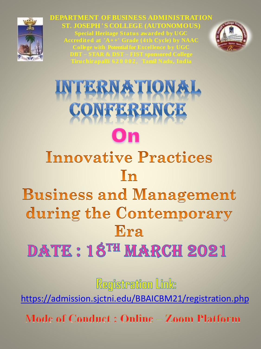

**DEPARTMENT OF BUSINESS ADMINISTRATION ST. JOSEPH 'S COLLEGE (AUTONOMOUS) Special Heritage Status awarded by UGC**



# NTERNATIONAL CONFERENCE On

# **Innovative Practices** In

## **Business and Management** during the Contemporary Era

### **DATE: 18TH MARCH 2021**

Registration Link:

<https://admission.sjctni.edu/BBAICBM21/registration.php>

**Mode of Conduct: Online - Zoom Platform**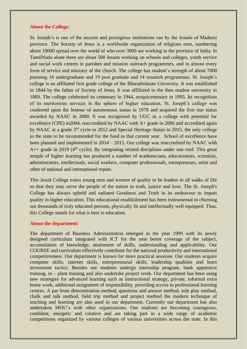#### **About the College:**

St. Joseph's is one of the ancient and prestigious institutions run by the Jesuits of Madurai province. The Society of Jesus is a worldwide organization of religious men, numbering about 19000 spread over the world of who over 3000 are working in the province of India. In TamilNadu alone there are about 500 Jesuits working on schools and colleges, youth service and social work centres in parishes and mission outreach programmes, and in almost every form of service and ministry of the church. The college has student's strength of about 7000 pursuing 16 undergraduate and 19 post graduate and 14 research programmes. St. Joseph's college is an affiliated first grade college of the Bharathidasan University. It was established in 1844 by the father of Society of Jesus. It was affiliated to the then madras university in 1869. The college celebrated its centenary in 1944, sesquicentenary in 1995. Its recognition of its meritorious services in the sphere of higher education, St. Joseph's college was conferred upon the honour of autonomous status in 1978 and acquired the five star status awarded by NAAC in 2000. It was recognized by UGC as a college with potential for excellence (CPE) in2004, reaccredited by NAAC with A+ grade in 2006 and accredited again by NAAC at a grade 3rd cycle in 2012 and Special Heritage Status in 2015, the only college in the state to be recommended for the fund in that current year. School of excellence have been planned and implemented in 2014 – 2015. Our college was reaccredited by NAAC with A++ grade in 2019 ( $4<sup>th</sup>$  cycle). By integrating related disciplines under one roof. This great temple of higher learning has produced a number of academicians, educationists, scientists, administrators, intellectuals, social workers, computer professionals, entrepreneurs, artist and other of national and international repute.

This Jesuit College trains young men and women of quality to be leaders in all walks of life so that they may serve the people of the nation in truth, justice and love. The St. Joseph's College has always upheld and radiated Goodness and Truth in its endeavour to impart quality in higher education. This educational establishment has been instrumental in churning out thousands of truly educated persons, physically fit and intellectually well equipped. Thus, this College stands for what is best in education.

#### **About the department:**

The department of Business Administration emerged in the year 1999 with its newly designed curriculum integrated with ICT for the year better coverage of the subject, accumulation of knowledge, attainment of skills, understanding and applicability. Our COURSE and curriculum effectively contribute for the national productivity and international competitiveness. Our department is known for more practical sessions. Our students acquire computer skills, internet skills, entrepreneurial skills, leadership qualities and learn investment tactics. Besides our students undergo internship program, bank apprentice training, in – plant training and also undertake project work. Our department has been using new strategies for advanced learning such as instructional strategy, private, informal extra home work, additional assignment of responsibility, providing access to professional learning centres. A par from demonstration method, questions and answer method, role play method, chalk and talk method, field trip method and project method the modern technique of teaching and learning are also used in our department. Currently our department has also undertaken MOU's with other organizations. Our students are becoming courageous, confident, energetic and creative and are taking part in a wide range of academic competitions organized by various colleges of various universities across the state. In this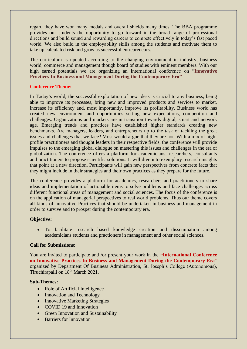regard they have won many medals and overall shields many times. The BBA programme provides our students the opportunity to go forward in the broad range of professional directions and build sound and rewarding careers to compete effectively in today's fast paced world. We also build in the employability skills among the students and motivate them to take up calculated risk and grow as successful entrepreneurs.

The curriculum is updated according to the changing environment in industry, business world, commerce and management though board of studies with eminent members. With our high earned potentials we are organizing an International conference on "**Innovative Practices In Business and Management During the Contemporary Era"**

#### **Conference Theme:**

In Today's world, the successful exploitation of new ideas is crucial to any business, being able to improve its processes, bring new and improved products and services to market, increase its efficiency and, most importantly, improve its profitability. Business world has created new environment and opportunities setting new expectations, competition and challenges. Organizations and markets are in transition towards digital, smart and network age. Emerging trends and practices have established higher standards creating new benchmarks. Are managers, leaders, and entrepreneurs up to the task of tackling the great issues and challenges that we face? Most would argue that they are not. With a mix of highprofile practitioners and thought leaders in their respective fields, the conference will provide impulses to the emerging global dialogue on mastering this issues and challenges in the era of globalization. The conference offers a platform for academicians, researchers, consultants and practitioners to propose scientific solutions. It will dive into exemplary research insights that point at a new direction. Participants will gain new perspectives from concrete facts that they might include in their strategies and their own practices as they prepare for the future.

The conference provides a platform for academics, researchers and practitioners to share ideas and implementation of actionable items to solve problems and face challenges across different functional areas of management and social sciences. The focus of the conference is on the application of managerial perspectives to real world problems. Thus our theme covers all kinds of Innovative Practices that should be undertaken in business and management in order to survive and to prosper during the contemporary era.

#### **Objective:**

• To facilitate research based knowledge creation and dissemination among academicians students and practioners in management and other social sciences.

#### **Call for Submissions:**

You are invited to participate and /or present your work in the **"International Conference on Innovative Practices In Business and Management During the Contemporary Era**" organized by Department Of Business Administration**,** St. Joseph's College (Autonomous), Tiruchirapalli on 18<sup>th</sup> March 2021.

#### **Sub-Themes:**

- Role of Artificial Intelligence
- Innovation and Technology
- Innovative Marketing Strategies
- COVID 19 and Innovation
- Green Innovation and Sustainability
- Barriers for Innovation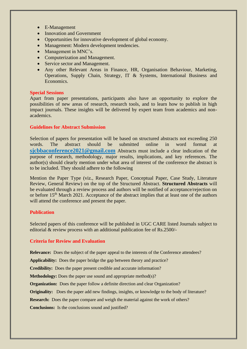- E-Management
- Innovation and Government
- Opportunities for innovative development of global economy.
- Management: Modern development tendencies.
- Management in MNC's.
- Computerization and Management.
- Service sector and Management.
- Any other Relevant Areas in Finance, HR, Organisation Behaviour, Marketing, Operations, Supply Chain, Strategy, IT & Systems, International Business and Economics.

#### **Special Sessions**

Apart from paper presentations, participants also have an opportunity to explore the possibilities of new areas of research, research tools, and to learn how to publish in high impact journals. These insights will be delivered by expert team from academics and nonacademics.

#### **Guidelines for Abstract Submission**

Selection of papers for presentation will be based on structured abstracts not exceeding 250 words. The abstract should be submitted online in word format at **sjcbbaconference2021@gmail.com** Abstracts must include a clear indication of the purpose of research, methodology, major results, implications, and key references. The author(s) should clearly mention under what area of interest of the conference the abstract is to be included. They should adhere to the following

Mention the Paper Type (viz., Research Paper, Conceptual Paper, Case Study, Literature Review, General Review) on the top of the Structured Abstract. **Structured Abstracts** will be evaluated through a review process and authors will be notified of acceptance/rejection on or before 15<sup>th</sup> March 2021. Acceptance of the abstract implies that at least one of the authors will attend the conference and present the paper.

#### **Publication**

Selected papers of this conference will be published in UGC CARE listed Journals subject to editorial & review process with an additional publication fee of Rs.2500/-

#### **Criteria for Review and Evaluation**

**Relevance:** Does the subject of the paper appeal to the interests of the Conference attendees?

**Applicability:** Does the paper bridge the gap between theory and practice?

**Credibility:** Does the paper present credible and accurate information?

**Methodology:** Does the paper use sound and appropriate method(s)?

**Organization:** Does the paper follow a definite direction and clear Organization?

**Originality:** Does the paper add new findings, insights, or knowledge to the body of literature?

**Research:** Does the paper compare and weigh the material against the work of others?

**Conclusions:** Is the conclusions sound and justified?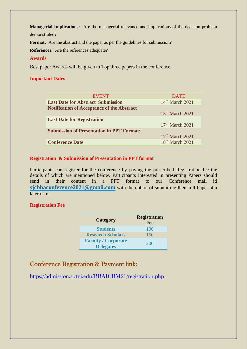**Managerial Implications:** Are the managerial relevance and implications of the decision problem demonstrated?

Format: Are the abstract and the paper as per the guidelines for submission?

**References:** Are the references adequate?

#### **Awards**

Best paper Awards will be given to Top three papers in the conference.

#### **Important Dates**

| <b>EVENT</b>                                      | <b>DATE</b>       |
|---------------------------------------------------|-------------------|
| <b>Last Date for Abstract Submission</b>          | $14th$ March 2021 |
| <b>Notification of Acceptance of the Abstract</b> |                   |
|                                                   | $15th$ March 2021 |
| <b>Last Date for Registration</b>                 |                   |
|                                                   | $17th$ March 2021 |
| <b>Submission of Presentation in PPT Format:</b>  |                   |
|                                                   | $17th$ March 2021 |
| <b>Conference Date</b>                            | $18th$ March 2021 |

#### **Registration & Submission of Presentation in PPT format**

Participants can register for the conference by paying the prescribed Registration fee the details of which are mentioned below. Participants interested in presenting Papers should send in their content in a PPT format to our Conference mail id **sjcbbaconference2021@gmail.com** with the option of submitting their full Paper at a later date.

#### **Registration Fee**

| <b>Category</b>                                | <b>Registration</b><br>Fee |
|------------------------------------------------|----------------------------|
| <b>Students</b>                                | 100                        |
| <b>Research Scholars</b>                       | 150                        |
| <b>Faculty / Corporate</b><br><b>Delegates</b> | <b>200</b>                 |

### Conference Registration & Payment link:

<https://admission.sjctni.edu/BBAICBM21/registration.php>